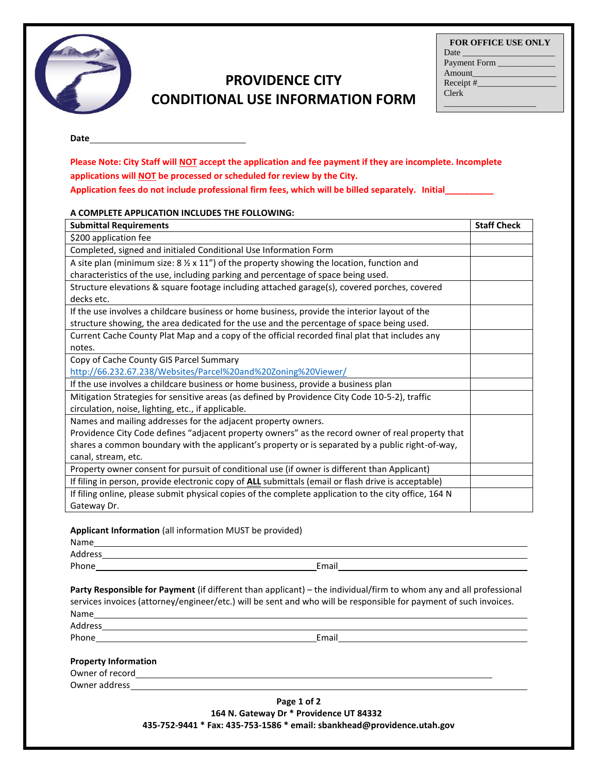

## **PROVIDENCE CITY CONDITIONAL USE INFORMATION FORM**

| <b>FOR OFFICE USE ONLY</b>                                                                                                                                                                                                    |
|-------------------------------------------------------------------------------------------------------------------------------------------------------------------------------------------------------------------------------|
| Date has been a series of the series of the series of the series of the series of the series of the series of the series of the series of the series of the series of the series of the series of the series of the series of |
| Payment Form ____                                                                                                                                                                                                             |
| Amount                                                                                                                                                                                                                        |
| Receipt $#$                                                                                                                                                                                                                   |
| <b>Clerk</b>                                                                                                                                                                                                                  |
|                                                                                                                                                                                                                               |

**Date**

**Please Note: City Staff will NOT accept the application and fee payment if they are incomplete. Incomplete applications will NOT be processed or scheduled for review by the City. Application fees do not include professional firm fees, which will be billed separately. Initial\_\_\_\_\_\_\_\_\_\_**

## **A COMPLETE APPLICATION INCLUDES THE FOLLOWING:**

| <b>Submittal Requirements</b>                                                                                                                                                                  | <b>Staff Check</b> |
|------------------------------------------------------------------------------------------------------------------------------------------------------------------------------------------------|--------------------|
| \$200 application fee                                                                                                                                                                          |                    |
| Completed, signed and initialed Conditional Use Information Form                                                                                                                               |                    |
| A site plan (minimum size: $8\frac{1}{2} \times 11$ ") of the property showing the location, function and<br>characteristics of the use, including parking and percentage of space being used. |                    |
| Structure elevations & square footage including attached garage(s), covered porches, covered<br>decks etc.                                                                                     |                    |
| If the use involves a childcare business or home business, provide the interior layout of the                                                                                                  |                    |
| structure showing, the area dedicated for the use and the percentage of space being used.                                                                                                      |                    |
| Current Cache County Plat Map and a copy of the official recorded final plat that includes any                                                                                                 |                    |
| notes.                                                                                                                                                                                         |                    |
| Copy of Cache County GIS Parcel Summary                                                                                                                                                        |                    |
| http://66.232.67.238/Websites/Parcel%20and%20Zoning%20Viewer/                                                                                                                                  |                    |
| If the use involves a childcare business or home business, provide a business plan                                                                                                             |                    |
| Mitigation Strategies for sensitive areas (as defined by Providence City Code 10-5-2), traffic<br>circulation, noise, lighting, etc., if applicable.                                           |                    |
| Names and mailing addresses for the adjacent property owners.                                                                                                                                  |                    |
| Providence City Code defines "adjacent property owners" as the record owner of real property that                                                                                              |                    |
| shares a common boundary with the applicant's property or is separated by a public right-of-way,                                                                                               |                    |
| canal, stream, etc.                                                                                                                                                                            |                    |
| Property owner consent for pursuit of conditional use (if owner is different than Applicant)                                                                                                   |                    |
| If filing in person, provide electronic copy of <b>ALL</b> submittals (email or flash drive is acceptable)                                                                                     |                    |
| If filing online, please submit physical copies of the complete application to the city office, 164 N                                                                                          |                    |
| Gateway Dr.                                                                                                                                                                                    |                    |

## **Applicant Information** (all information MUST be provided)

Address and the contract of the contract of the contract of the contract of the contract of the contract of the contract of the contract of the contract of the contract of the contract of the contract of the contract of th

Phone **Email** 

**Party Responsible for Payment** (if different than applicant) – the individual/firm to whom any and all professional services invoices (attorney/engineer/etc.) will be sent and who will be responsible for payment of such invoices. Name

Address

Phone Email Email Email Email Email Email Email Email Email Email Email Albert Contract and The Contract Contract Annual Email Albert Contract Annual Email Albert Contract Annual Account Contract Annual Account Contract An

## **Property Information**

Owner of record<br>
<u>Depends</u> Owner address

> **Page 1 of 2 164 N. Gateway Dr \* Providence UT 84332 435-752-9441 \* Fax: 435-753-1586 \* email: sbankhead@providence.utah.gov**